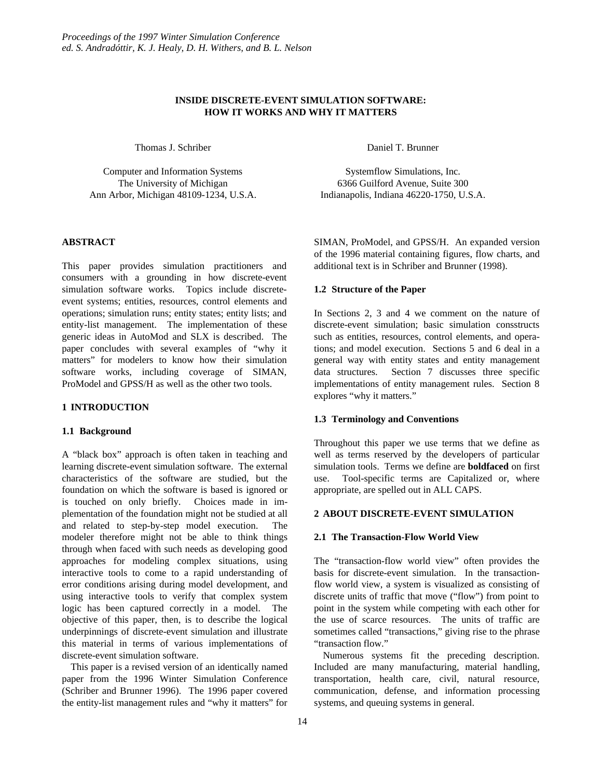# **INSIDE DISCRETE-EVENT SIMULATION SOFTWARE: HOW IT WORKS AND WHY IT MATTERS**

Thomas J. Schriber

Computer and Information Systems The University of Michigan Ann Arbor, Michigan 48109-1234, U.S.A.

# **ABSTRACT**

This paper provides simulation practitioners and consumers with a grounding in how discrete-event simulation software works. Topics include discreteevent systems; entities, resources, control elements and operations; simulation runs; entity states; entity lists; and entity-list management. The implementation of these generic ideas in AutoMod and SLX is described. The paper concludes with several examples of "why it matters" for modelers to know how their simulation software works, including coverage of SIMAN, ProModel and GPSS/H as well as the other two tools.

#### **1 INTRODUCTION**

#### **1.1 Background**

A "black box" approach is often taken in teaching and learning discrete-event simulation software. The external characteristics of the software are studied, but the foundation on which the software is based is ignored or is touched on only briefly. Choices made in implementation of the foundation might not be studied at all and related to step-by-step model execution. The modeler therefore might not be able to think things through when faced with such needs as developing good approaches for modeling complex situations, using interactive tools to come to a rapid understanding of error conditions arising during model development, and using interactive tools to verify that complex system logic has been captured correctly in a model. The objective of this paper, then, is to describe the logical underpinnings of discrete-event simulation and illustrate this material in terms of various implementations of discrete-event simulation software.

This paper is a revised version of an identically named paper from the 1996 Winter Simulation Conference (Schriber and Brunner 1996). The 1996 paper covered the entity-list management rules and "why it matters" for

Daniel T. Brunner

Systemflow Simulations, Inc. 6366 Guilford Avenue, Suite 300 Indianapolis, Indiana 46220-1750, U.S.A.

SIMAN, ProModel, and GPSS/H. An expanded version of the 1996 material containing figures, flow charts, and additional text is in Schriber and Brunner (1998).

# **1.2 Structure of the Paper**

In Sections 2, 3 and 4 we comment on the nature of discrete-event simulation; basic simulation consstructs such as entities, resources, control elements, and operations; and model execution. Sections 5 and 6 deal in a general way with entity states and entity management data structures. Section 7 discusses three specific implementations of entity management rules. Section 8 explores "why it matters."

# **1.3 Terminology and Conventions**

Throughout this paper we use terms that we define as well as terms reserved by the developers of particular simulation tools. Terms we define are **boldfaced** on first use. Tool-specific terms are Capitalized or, where appropriate, are spelled out in ALL CAPS.

# **2 ABOUT DISCRETE-EVENT SIMULATION**

# **2.1 The Transaction-Flow World View**

The "transaction-flow world view" often provides the basis for discrete-event simulation. In the transactionflow world view, a system is visualized as consisting of discrete units of traffic that move ("flow") from point to point in the system while competing with each other for the use of scarce resources. The units of traffic are sometimes called "transactions," giving rise to the phrase "transaction flow."

Numerous systems fit the preceding description. Included are many manufacturing, material handling, transportation, health care, civil, natural resource, communication, defense, and information processing systems, and queuing systems in general.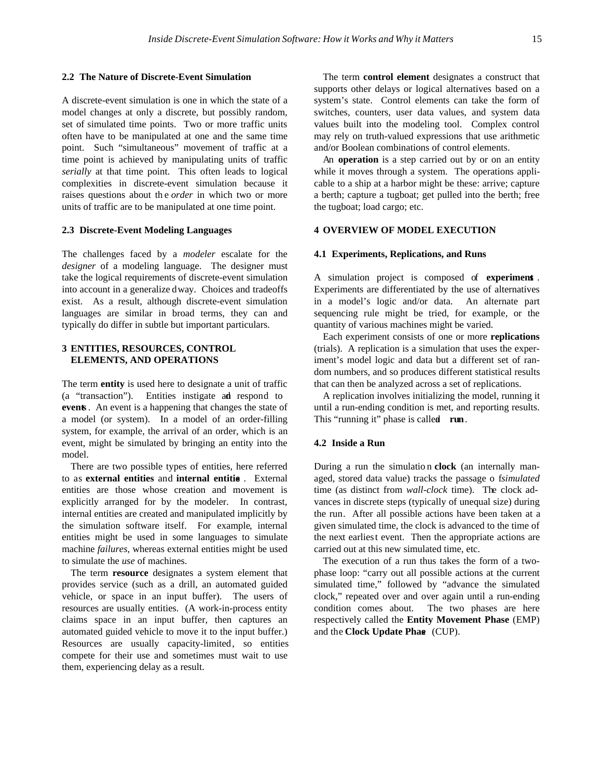#### **2.2 The Nature of Discrete-Event Simulation**

A discrete-event simulation is one in which the state of a model changes at only a discrete, but possibly random, set of simulated time points. Two or more traffic units often have to be manipulated at one and the same time point. Such "simultaneous" movement of traffic at a time point is achieved by manipulating units of traffic *serially* at that time point. This often leads to logical complexities in discrete-event simulation because it raises questions about th e *order* in which two or more units of traffic are to be manipulated at one time point.

#### **2.3 Discrete-Event Modeling Languages**

The challenges faced by a *modeler* escalate for the *designer* of a modeling language. The designer must take the logical requirements of discrete-event simulation into account in a generalize d way. Choices and tradeoffs exist. As a result, although discrete-event simulation languages are similar in broad terms, they can and typically do differ in subtle but important particulars.

# **3 ENTITIES, RESOURCES, CONTROL ELEMENTS, AND OPERATIONS**

The term **entity** is used here to designate a unit of traffic (a "transaction"). Entities instigate and respond to **events**. An event is a happening that changes the state of a model (or system). In a model of an order-filling system, for example, the arrival of an order, which is an event, might be simulated by bringing an entity into the model.

There are two possible types of entities, here referred to as **external entities** and **internal entities** . External entities are those whose creation and movement is explicitly arranged for by the modeler. In contrast, internal entities are created and manipulated implicitly by the simulation software itself. For example, internal entities might be used in some languages to simulate machine *failures*, whereas external entities might be used to simulate the *use* of machines.

The term **resource** designates a system element that provides service (such as a drill, an automated guided vehicle, or space in an input buffer). The users of resources are usually entities. (A work-in-process entity claims space in an input buffer, then captures an automated guided vehicle to move it to the input buffer.) Resources are usually capacity-limited, so entities compete for their use and sometimes must wait to use them, experiencing delay as a result.

The term **control element** designates a construct that supports other delays or logical alternatives based on a system's state. Control elements can take the form of switches, counters, user data values, and system data values built into the modeling tool. Complex control may rely on truth-valued expressions that use arithmetic and/or Boolean combinations of control elements.

An **operation** is a step carried out by or on an entity while it moves through a system. The operations applicable to a ship at a harbor might be these: arrive; capture a berth; capture a tugboat; get pulled into the berth; free the tugboat; load cargo; etc.

# **4 OVERVIEW OF MODEL EXECUTION**

#### **4.1 Experiments, Replications, and Runs**

A simulation project is composed of **experiments** . Experiments are differentiated by the use of alternatives in a model's logic and/or data. An alternate part sequencing rule might be tried, for example, or the quantity of various machines might be varied.

Each experiment consists of one or more **replications** (trials). A replication is a simulation that uses the experiment's model logic and data but a different set of random numbers, and so produces different statistical results that can then be analyzed across a set of replications.

A replication involves initializing the model, running it until a run-ending condition is met, and reporting results. This "running it" phase is called **run**.

# **4.2 Inside a Run**

During a run the simulatio n **clock** (an internally managed, stored data value) tracks the passage o fsimulated time (as distinct from *wall-clock* time). The clock advances in discrete steps (typically of unequal size) during the run. After all possible actions have been taken at a given simulated time, the clock is advanced to the time of the next earliest event. Then the appropriate actions are carried out at this new simulated time, etc.

The execution of a run thus takes the form of a twophase loop: "carry out all possible actions at the current simulated time," followed by "advance the simulated clock," repeated over and over again until a run-ending condition comes about. The two phases are here respectively called the **Entity Movement Phase** (EMP) and the **Clock Update Phase** (CUP).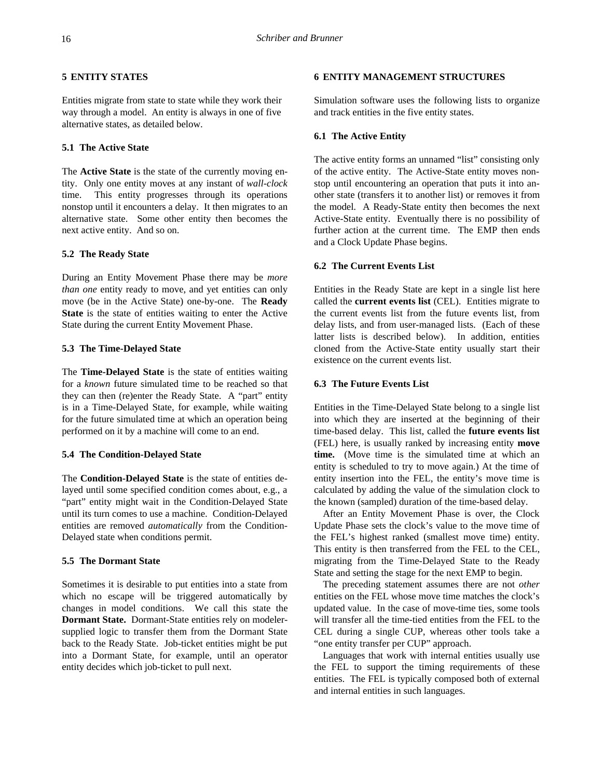# **5 ENTITY STATES**

Entities migrate from state to state while they work their way through a model. An entity is always in one of five alternative states, as detailed below.

# **5.1 The Active State**

The **Active State** is the state of the currently moving entity. Only one entity moves at any instant of *wall-clock* time. This entity progresses through its operations nonstop until it encounters a delay. It then migrates to an alternative state. Some other entity then becomes the next active entity. And so on.

# **5.2 The Ready State**

During an Entity Movement Phase there may be *more than one* entity ready to move, and yet entities can only move (be in the Active State) one-by-one. The **Ready State** is the state of entities waiting to enter the Active State during the current Entity Movement Phase.

## **5.3 The Time-Delayed State**

The **Time-Delayed State** is the state of entities waiting for a *known* future simulated time to be reached so that they can then (re)enter the Ready State. A "part" entity is in a Time-Delayed State, for example, while waiting for the future simulated time at which an operation being performed on it by a machine will come to an end.

## **5.4 The Condition-Delayed State**

The **Condition-Delayed State** is the state of entities delayed until some specified condition comes about, e.g., a "part" entity might wait in the Condition-Delayed State until its turn comes to use a machine. Condition-Delayed entities are removed *automatically* from the Condition-Delayed state when conditions permit.

## **5.5 The Dormant State**

Sometimes it is desirable to put entities into a state from which no escape will be triggered automatically by changes in model conditions. We call this state the **Dormant State.** Dormant-State entities rely on modelersupplied logic to transfer them from the Dormant State back to the Ready State. Job-ticket entities might be put into a Dormant State, for example, until an operator entity decides which job-ticket to pull next.

## **6 ENTITY MANAGEMENT STRUCTURES**

Simulation software uses the following lists to organize and track entities in the five entity states.

## **6.1 The Active Entity**

The active entity forms an unnamed "list" consisting only of the active entity. The Active-State entity moves nonstop until encountering an operation that puts it into another state (transfers it to another list) or removes it from the model. A Ready-State entity then becomes the next Active-State entity. Eventually there is no possibility of further action at the current time. The EMP then ends and a Clock Update Phase begins.

# **6.2 The Current Events List**

Entities in the Ready State are kept in a single list here called the **current events list** (CEL). Entities migrate to the current events list from the future events list, from delay lists, and from user-managed lists. (Each of these latter lists is described below). In addition, entities cloned from the Active-State entity usually start their existence on the current events list.

#### **6.3 The Future Events List**

Entities in the Time-Delayed State belong to a single list into which they are inserted at the beginning of their time-based delay. This list, called the **future events list** (FEL) here, is usually ranked by increasing entity **move time.** (Move time is the simulated time at which an entity is scheduled to try to move again.) At the time of entity insertion into the FEL, the entity's move time is calculated by adding the value of the simulation clock to the known (sampled) duration of the time-based delay.

After an Entity Movement Phase is over, the Clock Update Phase sets the clock's value to the move time of the FEL's highest ranked (smallest move time) entity. This entity is then transferred from the FEL to the CEL, migrating from the Time-Delayed State to the Ready State and setting the stage for the next EMP to begin.

The preceding statement assumes there are not *other* entities on the FEL whose move time matches the clock's updated value. In the case of move-time ties, some tools will transfer all the time-tied entities from the FEL to the CEL during a single CUP, whereas other tools take a "one entity transfer per CUP" approach.

Languages that work with internal entities usually use the FEL to support the timing requirements of these entities. The FEL is typically composed both of external and internal entities in such languages.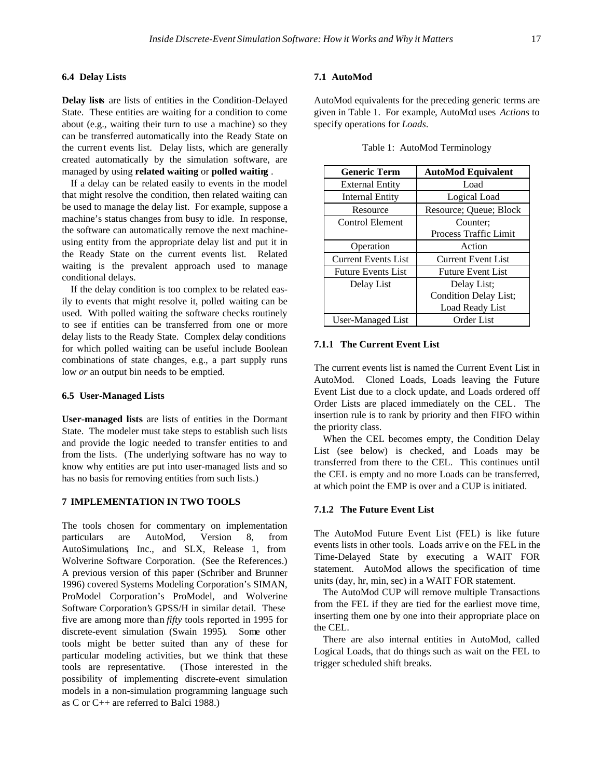#### **6.4 Delay Lists**

**Delay lists** are lists of entities in the Condition-Delayed State. These entities are waiting for a condition to come about (e.g., waiting their turn to use a machine) so they can be transferred automatically into the Ready State on the current events list. Delay lists, which are generally created automatically by the simulation software, are managed by using **related waiting** or **polled waiting** .

If a delay can be related easily to events in the model that might resolve the condition, then related waiting can be used to manage the delay list. For example, suppose a machine's status changes from busy to idle. In response, the software can automatically remove the next machineusing entity from the appropriate delay list and put it in the Ready State on the current events list. Related waiting is the prevalent approach used to manage conditional delays.

If the delay condition is too complex to be related easily to events that might resolve it, polled waiting can be used. With polled waiting the software checks routinely to see if entities can be transferred from one or more delay lists to the Ready State. Complex delay conditions for which polled waiting can be useful include Boolean combinations of state changes, e.g., a part supply runs low *or* an output bin needs to be emptied.

## **6.5 User-Managed Lists**

**User-managed lists** are lists of entities in the Dormant State. The modeler must take steps to establish such lists and provide the logic needed to transfer entities to and from the lists. (The underlying software has no way to know why entities are put into user-managed lists and so has no basis for removing entities from such lists.)

# **7 IMPLEMENTATION IN TWO TOOLS**

The tools chosen for commentary on implementation particulars are AutoMod, Version 8, from AutoSimulations, Inc., and SLX, Release 1, from Wolverine Software Corporation. (See the References.) A previous version of this paper (Schriber and Brunner 1996) covered Systems Modeling Corporation's SIMAN, ProModel Corporation's ProModel, and Wolverine Software Corporation's GPSS/H in similar detail. These five are among more than *fifty* tools reported in 1995 for discrete-event simulation (Swain 1995). Some other tools might be better suited than any of these for particular modeling activities, but we think that these tools are representative. (Those interested in the possibility of implementing discrete-event simulation models in a non-simulation programming language such as C or C++ are referred to Balci 1988.)

## **7.1 AutoMod**

AutoMod equivalents for the preceding generic terms are given in Table 1. For example, AutoMod uses *Actions* to specify operations for *Loads*.

|  |  | Table 1: AutoMod Terminology |
|--|--|------------------------------|
|--|--|------------------------------|

| <b>Generic Term</b>        | <b>AutoMod Equivalent</b> |
|----------------------------|---------------------------|
| <b>External Entity</b>     | Load                      |
| <b>Internal Entity</b>     | Logical Load              |
| Resource                   | Resource; Queue; Block    |
| Control Element            | Counter:                  |
|                            | Process Traffic Limit     |
| Operation                  | Action                    |
| <b>Current Events List</b> | <b>Current Event List</b> |
| <b>Future Events List</b>  | <b>Future Event List</b>  |
| Delay List                 | Delay List;               |
|                            | Condition Delay List;     |
|                            | <b>Load Ready List</b>    |
| User-Managed List          | Order List                |

#### **7.1.1 The Current Event List**

The current events list is named the Current Event List in AutoMod. Cloned Loads, Loads leaving the Future Event List due to a clock update, and Loads ordered off Order Lists are placed immediately on the CEL. The insertion rule is to rank by priority and then FIFO within the priority class.

When the CEL becomes empty, the Condition Delay List (see below) is checked, and Loads may be transferred from there to the CEL. This continues until the CEL is empty and no more Loads can be transferred, at which point the EMP is over and a CUP is initiated.

# **7.1.2 The Future Event List**

The AutoMod Future Event List (FEL) is like future events lists in other tools. Loads arrive on the FEL in the Time-Delayed State by executing a WAIT FOR statement. AutoMod allows the specification of time units (day, hr, min, sec) in a WAIT FOR statement.

The AutoMod CUP will remove multiple Transactions from the FEL if they are tied for the earliest move time, inserting them one by one into their appropriate place on the CEL.

There are also internal entities in AutoMod, called Logical Loads, that do things such as wait on the FEL to trigger scheduled shift breaks.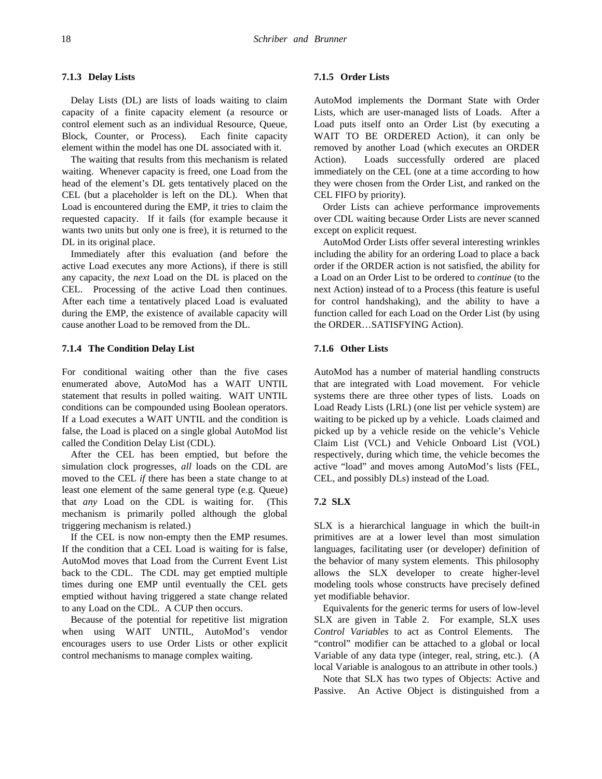## **7.1.3 Delay Lists**

Delay Lists (DL) are lists of loads waiting to claim capacity of a finite capacity element (a resource or control element such as an individual Resource, Queue, Block, Counter, or Process). Each finite capacity element within the model has one DL associated with it.

The waiting that results from this mechanism is related waiting. Whenever capacity is freed, one Load from the head of the element's DL gets tentatively placed on the CEL (but a placeholder is left on the DL). When that Load is encountered during the EMP, it tries to claim the requested capacity. If it fails (for example because it wants two units but only one is free), it is returned to the DL in its original place.

Immediately after this evaluation (and before the active Load executes any more Actions), if there is still any capacity, the *next* Load on the DL is placed on the CEL. Processing of the active Load then continues. After each time a tentatively placed Load is evaluated during the EMP, the existence of available capacity will cause another Load to be removed from the DL.

#### **7.1.4 The Condition Delay List**

For conditional waiting other than the five cases enumerated above, AutoMod has a WAIT UNTIL statement that results in polled waiting. WAIT UNTIL conditions can be compounded using Boolean operators. If a Load executes a WAIT UNTIL and the condition is false, the Load is placed on a single global AutoMod list called the Condition Delay List (CDL).

After the CEL has been emptied, but before the simulation clock progresses, *all* loads on the CDL are moved to the CEL *if* there has been a state change to at least one element of the same general type (e.g. Queue) that *any* Load on the CDL is waiting for. (This mechanism is primarily polled although the global triggering mechanism is related.)

If the CEL is now non-empty then the EMP resumes. If the condition that a CEL Load is waiting for is false, AutoMod moves that Load from the Current Event List back to the CDL. The CDL may get emptied multiple times during one EMP until eventually the CEL gets emptied without having triggered a state change related to any Load on the CDL. A CUP then occurs.

Because of the potential for repetitive list migration when using WAIT UNTIL, AutoMod's vendor encourages users to use Order Lists or other explicit control mechanisms to manage complex waiting.

## **7.1.5 Order Lists**

AutoMod implements the Dormant State with Order Lists, which are user-managed lists of Loads. After a Load puts itself onto an Order List (by executing a WAIT TO BE ORDERED Action), it can only be removed by another Load (which executes an ORDER Action). Loads successfully ordered are placed immediately on the CEL (one at a time according to how they were chosen from the Order List, and ranked on the CEL FIFO by priority).

Order Lists can achieve performance improvements over CDL waiting because Order Lists are never scanned except on explicit request.

AutoMod Order Lists offer several interesting wrinkles including the ability for an ordering Load to place a back order if the ORDER action is not satisfied, the ability for a Load on an Order List to be ordered to *continue* (to the next Action) instead of to a Process (this feature is useful for control handshaking), and the ability to have a function called for each Load on the Order List (by using the ORDER…SATISFYING Action).

## **7.1.6 Other Lists**

AutoMod has a number of material handling constructs that are integrated with Load movement. For vehicle systems there are three other types of lists. Loads on Load Ready Lists (LRL) (one list per vehicle system) are waiting to be picked up by a vehicle. Loads claimed and picked up by a vehicle reside on the vehicle's Vehicle Claim List (VCL) and Vehicle Onboard List (VOL) respectively, during which time, the vehicle becomes the active "load" and moves among AutoMod's lists (FEL, CEL, and possibly DLs) instead of the Load.

# **7.2 SLX**

SLX is a hierarchical language in which the built-in primitives are at a lower level than most simulation languages, facilitating user (or developer) definition of the behavior of many system elements. This philosophy allows the SLX developer to create higher-level modeling tools whose constructs have precisely defined yet modifiable behavior.

Equivalents for the generic terms for users of low-level SLX are given in Table 2. For example, SLX uses *Control Variables* to act as Control Elements. The "control" modifier can be attached to a global or local Variable of any data type (integer, real, string, etc.). (A local Variable is analogous to an attribute in other tools.)

Note that SLX has two types of Objects: Active and Passive. An Active Object is distinguished from a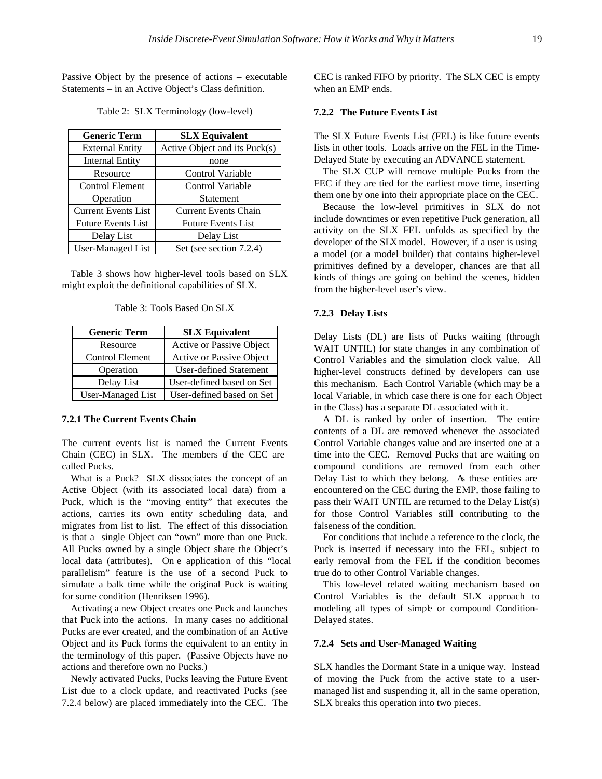Passive Object by the presence of actions – executable Statements – in an Active Object's Class definition.

| <b>Generic Term</b>        | <b>SLX Equivalent</b>         |
|----------------------------|-------------------------------|
| <b>External Entity</b>     | Active Object and its Puck(s) |
| <b>Internal Entity</b>     | none                          |
| Resource                   | Control Variable              |
| <b>Control Element</b>     | Control Variable              |
| Operation                  | Statement                     |
| <b>Current Events List</b> | <b>Current Events Chain</b>   |
| <b>Future Events List</b>  | <b>Future Events List</b>     |
| Delay List                 | Delay List                    |
| <b>User-Managed List</b>   | Set (see section 7.2.4)       |

Table 2: SLX Terminology (low-level)

Table 3 shows how higher-level tools based on SLX might exploit the definitional capabilities of SLX.

Table 3: Tools Based On SLX

| <b>Generic Term</b>      | <b>SLX Equivalent</b>     |
|--------------------------|---------------------------|
| Resource                 | Active or Passive Object  |
| Control Element          | Active or Passive Object  |
| Operation                | User-defined Statement    |
| Delay List               | User-defined based on Set |
| <b>User-Managed List</b> | User-defined based on Set |

## **7.2.1 The Current Events Chain**

The current events list is named the Current Events Chain (CEC) in SLX. The members of the CEC are called Pucks.

What is a Puck? SLX dissociates the concept of an Active Object (with its associated local data) from a Puck, which is the "moving entity" that executes the actions, carries its own entity scheduling data, and migrates from list to list. The effect of this dissociation is that a single Object can "own" more than one Puck. All Pucks owned by a single Object share the Object's local data (attributes). On e application of this "local parallelism" feature is the use of a second Puck to simulate a balk time while the original Puck is waiting for some condition (Henriksen 1996).

Activating a new Object creates one Puck and launches that Puck into the actions. In many cases no additional Pucks are ever created, and the combination of an Active Object and its Puck forms the equivalent to an entity in the terminology of this paper. (Passive Objects have no actions and therefore own no Pucks.)

Newly activated Pucks, Pucks leaving the Future Event List due to a clock update, and reactivated Pucks (see 7.2.4 below) are placed immediately into the CEC. The CEC is ranked FIFO by priority. The SLX CEC is empty when an EMP ends.

# **7.2.2 The Future Events List**

The SLX Future Events List (FEL) is like future events lists in other tools. Loads arrive on the FEL in the Time-Delayed State by executing an ADVANCE statement.

The SLX CUP will remove multiple Pucks from the FEC if they are tied for the earliest move time, inserting them one by one into their appropriate place on the CEC.

Because the low-level primitives in SLX do not include downtimes or even repetitive Puck generation, all activity on the SLX FEL unfolds as specified by the developer of the SLX model. However, if a user is using a model (or a model builder) that contains higher-level primitives defined by a developer, chances are that all kinds of things are going on behind the scenes, hidden from the higher-level user's view.

#### **7.2.3 Delay Lists**

Delay Lists (DL) are lists of Pucks waiting (through WAIT UNTIL) for state changes in any combination of Control Variables and the simulation clock value. All higher-level constructs defined by developers can use this mechanism. Each Control Variable (which may be a local Variable, in which case there is one for each Object in the Class) has a separate DL associated with it.

A DL is ranked by order of insertion. The entire contents of a DL are removed whenever the associated Control Variable changes value and are inserted one at a time into the CEC. Removed Pucks that are waiting on compound conditions are removed from each other Delay List to which they belong. As these entities are encountered on the CEC during the EMP, those failing to pass their WAIT UNTIL are returned to the Delay List(s) for those Control Variables still contributing to the falseness of the condition.

For conditions that include a reference to the clock, the Puck is inserted if necessary into the FEL, subject to early removal from the FEL if the condition becomes true do to other Control Variable changes.

This low-level related waiting mechanism based on Control Variables is the default SLX approach to modeling all types of simple or compound Condition-Delayed states.

## **7.2.4 Sets and User-Managed Waiting**

SLX handles the Dormant State in a unique way. Instead of moving the Puck from the active state to a usermanaged list and suspending it, all in the same operation, SLX breaks this operation into two pieces.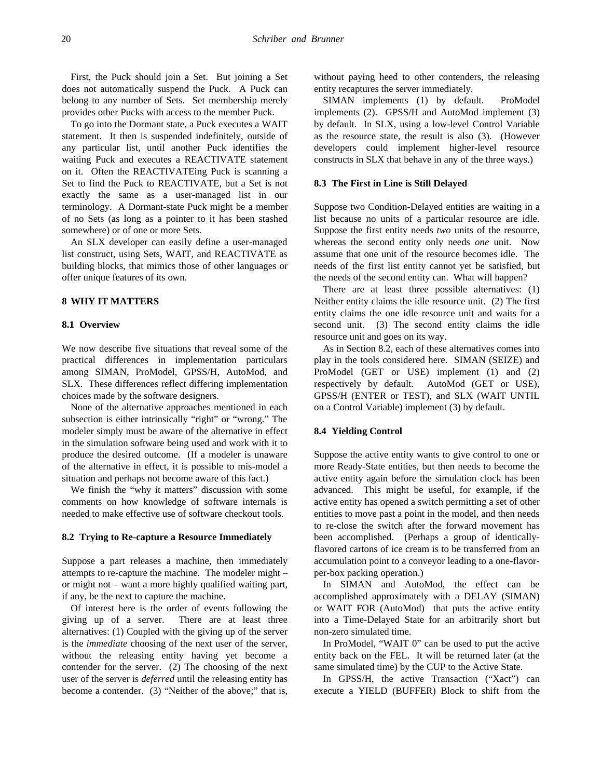First, the Puck should join a Set. But joining a Set does not automatically suspend the Puck. A Puck can belong to any number of Sets. Set membership merely provides other Pucks with access to the member Puck.

To go into the Dormant state, a Puck executes a WAIT statement. It then is suspended indefinitely, outside of any particular list, until another Puck identifies the waiting Puck and executes a REACTIVATE statement on it. Often the REACTIVATEing Puck is scanning a Set to find the Puck to REACTIVATE, but a Set is not exactly the same as a user-managed list in our terminology. A Dormant-state Puck might be a member of no Sets (as long as a pointer to it has been stashed somewhere) or of one or more Sets.

An SLX developer can easily define a user-managed list construct, using Sets, WAIT, and REACTIVATE as building blocks, that mimics those of other languages or offer unique features of its own.

### **8 WHY IT MATTERS**

## **8.1 Overview**

We now describe five situations that reveal some of the practical differences in implementation particulars among SIMAN, ProModel, GPSS/H, AutoMod, and SLX. These differences reflect differing implementation choices made by the software designers.

None of the alternative approaches mentioned in each subsection is either intrinsically "right" or "wrong." The modeler simply must be aware of the alternative in effect in the simulation software being used and work with it to produce the desired outcome. (If a modeler is unaware of the alternative in effect, it is possible to mis-model a situation and perhaps not become aware of this fact.)

We finish the "why it matters" discussion with some comments on how knowledge of software internals is needed to make effective use of software checkout tools.

#### **8.2 Trying to Re-capture a Resource Immediately**

Suppose a part releases a machine, then immediately attempts to re-capture the machine. The modeler might – or might not – want a more highly qualified waiting part, if any, be the next to capture the machine.

Of interest here is the order of events following the giving up of a server. There are at least three alternatives: (1) Coupled with the giving up of the server is the *immediate* choosing of the next user of the server, without the releasing entity having yet become a contender for the server. (2) The choosing of the next user of the server is *deferred* until the releasing entity has become a contender. (3) "Neither of the above;" that is,

without paying heed to other contenders, the releasing entity recaptures the server immediately.

SIMAN implements (1) by default. ProModel implements (2). GPSS/H and AutoMod implement (3) by default. In SLX, using a low-level Control Variable as the resource state, the result is also (3). (However developers could implement higher-level resource constructs in SLX that behave in any of the three ways.)

## **8.3 The First in Line is Still Delayed**

Suppose two Condition-Delayed entities are waiting in a list because no units of a particular resource are idle. Suppose the first entity needs *two* units of the resource, whereas the second entity only needs *one* unit. Now assume that one unit of the resource becomes idle. The needs of the first list entity cannot yet be satisfied, but the needs of the second entity can. What will happen?

There are at least three possible alternatives: (1) Neither entity claims the idle resource unit. (2) The first entity claims the one idle resource unit and waits for a second unit. (3) The second entity claims the idle resource unit and goes on its way.

As in Section 8.2, each of these alternatives comes into play in the tools considered here. SIMAN (SEIZE) and ProModel (GET or USE) implement (1) and (2) respectively by default. AutoMod (GET or USE), GPSS/H (ENTER or TEST), and SLX (WAIT UNTIL on a Control Variable) implement (3) by default.

# **8.4 Yielding Control**

Suppose the active entity wants to give control to one or more Ready-State entities, but then needs to become the active entity again before the simulation clock has been advanced. This might be useful, for example, if the active entity has opened a switch permitting a set of other entities to move past a point in the model, and then needs to re-close the switch after the forward movement has been accomplished. (Perhaps a group of identicallyflavored cartons of ice cream is to be transferred from an accumulation point to a conveyor leading to a one-flavorper-box packing operation.)

In SIMAN and AutoMod, the effect can be accomplished approximately with a DELAY (SIMAN) or WAIT FOR (AutoMod) that puts the active entity into a Time-Delayed State for an arbitrarily short but non-zero simulated time.

In ProModel, "WAIT 0" can be used to put the active entity back on the FEL. It will be returned later (at the same simulated time) by the CUP to the Active State.

In GPSS/H, the active Transaction ("Xact") can execute a YIELD (BUFFER) Block to shift from the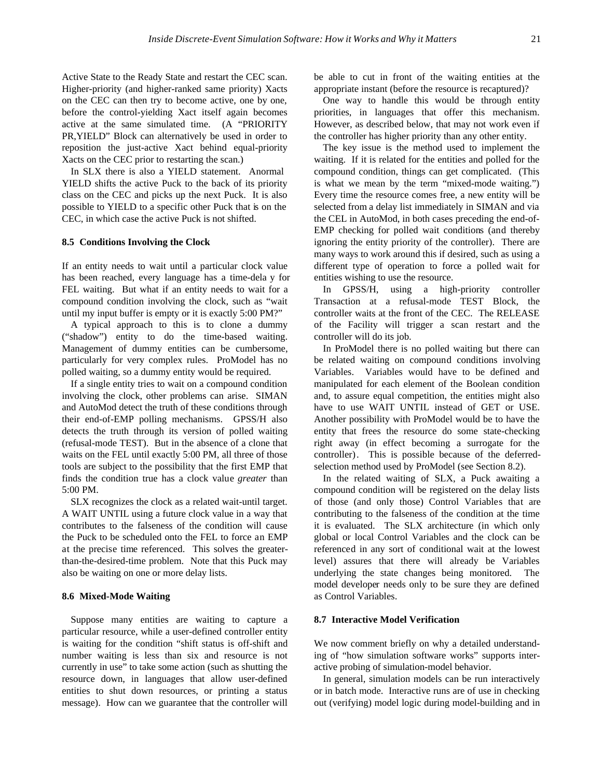Active State to the Ready State and restart the CEC scan. Higher-priority (and higher-ranked same priority) Xacts on the CEC can then try to become active, one by one, before the control-yielding Xact itself again becomes active at the same simulated time. (A "PRIORITY PR,YIELD" Block can alternatively be used in order to reposition the just-active Xact behind equal-priority Xacts on the CEC prior to restarting the scan.)

In SLX there is also a YIELD statement. Anormal YIELD shifts the active Puck to the back of its priority class on the CEC and picks up the next Puck. It is also possible to YIELD to a specific other Puck that is on the CEC, in which case the active Puck is not shifted.

# **8.5 Conditions Involving the Clock**

If an entity needs to wait until a particular clock value has been reached, every language has a time-dela y for FEL waiting. But what if an entity needs to wait for a compound condition involving the clock, such as "wait until my input buffer is empty or it is exactly 5:00 PM?"

A typical approach to this is to clone a dummy ("shadow") entity to do the time-based waiting. Management of dummy entities can be cumbersome, particularly for very complex rules. ProModel has no polled waiting, so a dummy entity would be required.

If a single entity tries to wait on a compound condition involving the clock, other problems can arise. SIMAN and AutoMod detect the truth of these conditions through their end-of-EMP polling mechanisms. GPSS/H also detects the truth through its version of polled waiting (refusal-mode TEST). But in the absence of a clone that waits on the FEL until exactly 5:00 PM, all three of those tools are subject to the possibility that the first EMP that finds the condition true has a clock value *greater* than 5:00 PM.

SLX recognizes the clock as a related wait-until target. A WAIT UNTIL using a future clock value in a way that contributes to the falseness of the condition will cause the Puck to be scheduled onto the FEL to force an EMP at the precise time referenced. This solves the greaterthan-the-desired-time problem. Note that this Puck may also be waiting on one or more delay lists.

## **8.6 Mixed-Mode Waiting**

Suppose many entities are waiting to capture a particular resource, while a user-defined controller entity is waiting for the condition "shift status is off-shift and number waiting is less than six and resource is not currently in use" to take some action (such as shutting the resource down, in languages that allow user-defined entities to shut down resources, or printing a status message). How can we guarantee that the controller will be able to cut in front of the waiting entities at the appropriate instant (before the resource is recaptured)?

One way to handle this would be through entity priorities, in languages that offer this mechanism. However, as described below, that may not work even if the controller has higher priority than any other entity.

The key issue is the method used to implement the waiting. If it is related for the entities and polled for the compound condition, things can get complicated. (This is what we mean by the term "mixed-mode waiting.") Every time the resource comes free, a new entity will be selected from a delay list immediately in SIMAN and via the CEL in AutoMod, in both cases preceding the end-of-EMP checking for polled wait conditions (and thereby ignoring the entity priority of the controller). There are many ways to work around this if desired, such as using a different type of operation to force a polled wait for entities wishing to use the resource.

In GPSS/H, using a high-priority controller Transaction at a refusal-mode TEST Block, the controller waits at the front of the CEC. The RELEASE of the Facility will trigger a scan restart and the controller will do its job.

In ProModel there is no polled waiting but there can be related waiting on compound conditions involving Variables. Variables would have to be defined and manipulated for each element of the Boolean condition and, to assure equal competition, the entities might also have to use WAIT UNTIL instead of GET or USE. Another possibility with ProModel would be to have the entity that frees the resource do some state-checking right away (in effect becoming a surrogate for the controller). This is possible because of the deferredselection method used by ProModel (see Section 8.2).

In the related waiting of SLX, a Puck awaiting a compound condition will be registered on the delay lists of those (and only those) Control Variables that are contributing to the falseness of the condition at the time it is evaluated. The SLX architecture (in which only global or local Control Variables and the clock can be referenced in any sort of conditional wait at the lowest level) assures that there will already be Variables underlying the state changes being monitored. The model developer needs only to be sure they are defined as Control Variables.

#### **8.7 Interactive Model Verification**

We now comment briefly on why a detailed understanding of "how simulation software works" supports interactive probing of simulation-model behavior.

In general, simulation models can be run interactively or in batch mode. Interactive runs are of use in checking out (verifying) model logic during model-building and in